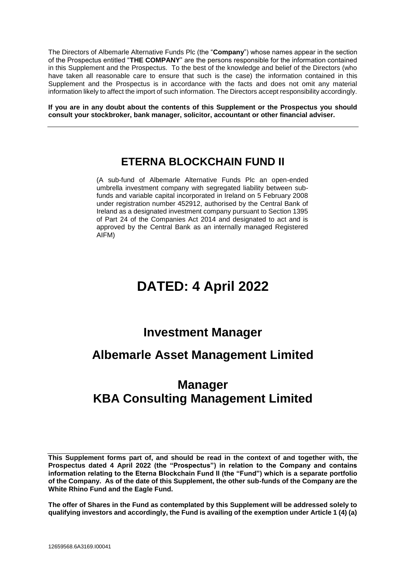The Directors of Albemarle Alternative Funds Plc (the "**Company**") whose names appear in the section of the Prospectus entitled "**THE COMPANY**" are the persons responsible for the information contained in this Supplement and the Prospectus. To the best of the knowledge and belief of the Directors (who have taken all reasonable care to ensure that such is the case) the information contained in this Supplement and the Prospectus is in accordance with the facts and does not omit any material information likely to affect the import of such information. The Directors accept responsibility accordingly.

**If you are in any doubt about the contents of this Supplement or the Prospectus you should consult your stockbroker, bank manager, solicitor, accountant or other financial adviser.**

## **ETERNA BLOCKCHAIN FUND II**

(A sub-fund of Albemarle Alternative Funds Plc an open-ended umbrella investment company with segregated liability between subfunds and variable capital incorporated in Ireland on 5 February 2008 under registration number 452912, authorised by the Central Bank of Ireland as a designated investment company pursuant to Section 1395 of Part 24 of the Companies Act 2014 and designated to act and is approved by the Central Bank as an internally managed Registered AIFM)

# **DATED: 4 April 2022**

## **Investment Manager**

## **Albemarle Asset Management Limited**

## **Manager KBA Consulting Management Limited**

**This Supplement forms part of, and should be read in the context of and together with, the Prospectus dated 4 April 2022 (the "Prospectus") in relation to the Company and contains information relating to the Eterna Blockchain Fund II (the "Fund") which is a separate portfolio of the Company. As of the date of this Supplement, the other sub-funds of the Company are the White Rhino Fund and the Eagle Fund.**

**The offer of Shares in the Fund as contemplated by this Supplement will be addressed solely to qualifying investors and accordingly, the Fund is availing of the exemption under Article 1 (4) (a)**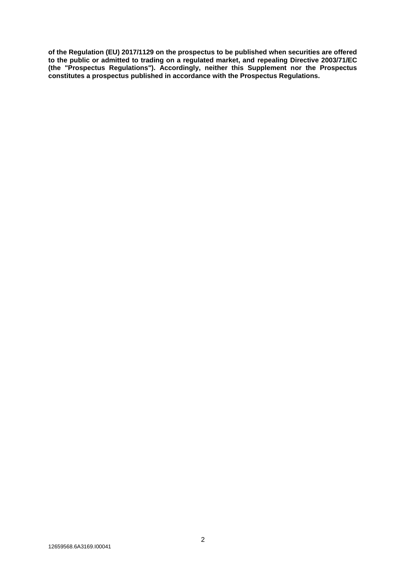**of the Regulation (EU) 2017/1129 on the prospectus to be published when securities are offered to the public or admitted to trading on a regulated market, and repealing Directive 2003/71/EC (the "Prospectus Regulations"). Accordingly, neither this Supplement nor the Prospectus constitutes a prospectus published in accordance with the Prospectus Regulations.**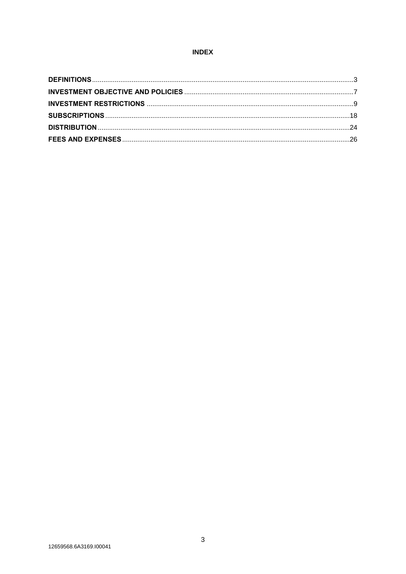## **INDEX**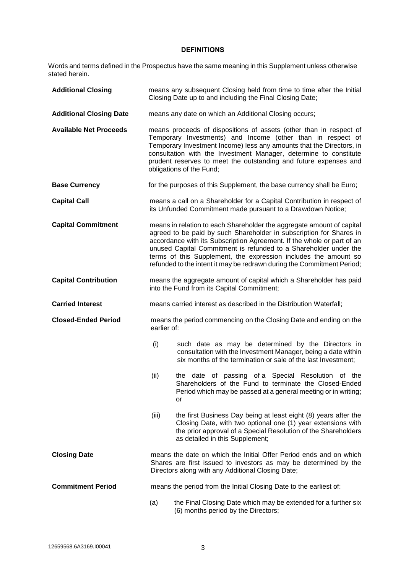## **DEFINITIONS**

Words and terms defined in the Prospectus have the same meaning in this Supplement unless otherwise stated herein.

| <b>Additional Closing</b>      |                                                                                  | means any subsequent Closing held from time to time after the Initial<br>Closing Date up to and including the Final Closing Date;                                                                                                                                                                                                                                                                                                       |
|--------------------------------|----------------------------------------------------------------------------------|-----------------------------------------------------------------------------------------------------------------------------------------------------------------------------------------------------------------------------------------------------------------------------------------------------------------------------------------------------------------------------------------------------------------------------------------|
| <b>Additional Closing Date</b> |                                                                                  | means any date on which an Additional Closing occurs;                                                                                                                                                                                                                                                                                                                                                                                   |
| <b>Available Net Proceeds</b>  |                                                                                  | means proceeds of dispositions of assets (other than in respect of<br>Temporary Investments) and Income (other than in respect of<br>Temporary Investment Income) less any amounts that the Directors, in<br>consultation with the Investment Manager, determine to constitute<br>prudent reserves to meet the outstanding and future expenses and<br>obligations of the Fund;                                                          |
| <b>Base Currency</b>           |                                                                                  | for the purposes of this Supplement, the base currency shall be Euro;                                                                                                                                                                                                                                                                                                                                                                   |
| <b>Capital Call</b>            |                                                                                  | means a call on a Shareholder for a Capital Contribution in respect of<br>its Unfunded Commitment made pursuant to a Drawdown Notice;                                                                                                                                                                                                                                                                                                   |
| <b>Capital Commitment</b>      |                                                                                  | means in relation to each Shareholder the aggregate amount of capital<br>agreed to be paid by such Shareholder in subscription for Shares in<br>accordance with its Subscription Agreement. If the whole or part of an<br>unused Capital Commitment is refunded to a Shareholder under the<br>terms of this Supplement, the expression includes the amount so<br>refunded to the intent it may be redrawn during the Commitment Period; |
| <b>Capital Contribution</b>    |                                                                                  | means the aggregate amount of capital which a Shareholder has paid<br>into the Fund from its Capital Commitment;                                                                                                                                                                                                                                                                                                                        |
| <b>Carried Interest</b>        |                                                                                  | means carried interest as described in the Distribution Waterfall;                                                                                                                                                                                                                                                                                                                                                                      |
| <b>Closed-Ended Period</b>     | means the period commencing on the Closing Date and ending on the<br>earlier of: |                                                                                                                                                                                                                                                                                                                                                                                                                                         |
|                                | (i)                                                                              | such date as may be determined by the Directors in<br>consultation with the Investment Manager, being a date within<br>six months of the termination or sale of the last Investment;                                                                                                                                                                                                                                                    |
|                                | (ii)                                                                             | the date of passing of a Special Resolution of the<br>Shareholders of the Fund to terminate the Closed-Ended<br>Period which may be passed at a general meeting or in writing;<br>or                                                                                                                                                                                                                                                    |
|                                | (iii)                                                                            | the first Business Day being at least eight (8) years after the<br>Closing Date, with two optional one (1) year extensions with<br>the prior approval of a Special Resolution of the Shareholders<br>as detailed in this Supplement;                                                                                                                                                                                                    |
| <b>Closing Date</b>            |                                                                                  | means the date on which the Initial Offer Period ends and on which<br>Shares are first issued to investors as may be determined by the<br>Directors along with any Additional Closing Date;                                                                                                                                                                                                                                             |
| <b>Commitment Period</b>       | means the period from the Initial Closing Date to the earliest of:               |                                                                                                                                                                                                                                                                                                                                                                                                                                         |
|                                | (a)                                                                              | the Final Closing Date which may be extended for a further six<br>(6) months period by the Directors;                                                                                                                                                                                                                                                                                                                                   |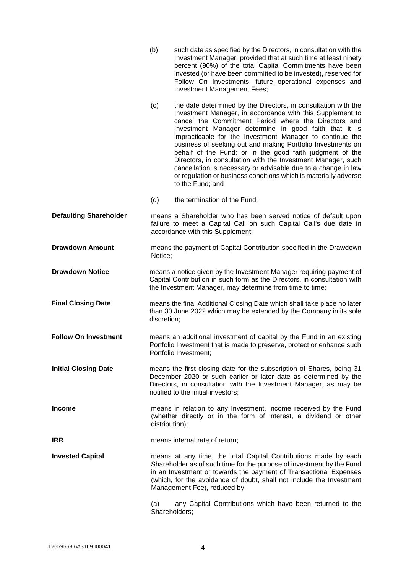|                               | (b)                                                                                                                                                                                                                                                  | such date as specified by the Directors, in consultation with the<br>Investment Manager, provided that at such time at least ninety<br>percent (90%) of the total Capital Commitments have been<br>invested (or have been committed to be invested), reserved for<br>Follow On Investments, future operational expenses and<br><b>Investment Management Fees;</b>                                                                                                                                                                                                                                                                                            |
|-------------------------------|------------------------------------------------------------------------------------------------------------------------------------------------------------------------------------------------------------------------------------------------------|--------------------------------------------------------------------------------------------------------------------------------------------------------------------------------------------------------------------------------------------------------------------------------------------------------------------------------------------------------------------------------------------------------------------------------------------------------------------------------------------------------------------------------------------------------------------------------------------------------------------------------------------------------------|
|                               | (c)                                                                                                                                                                                                                                                  | the date determined by the Directors, in consultation with the<br>Investment Manager, in accordance with this Supplement to<br>cancel the Commitment Period where the Directors and<br>Investment Manager determine in good faith that it is<br>impracticable for the Investment Manager to continue the<br>business of seeking out and making Portfolio Investments on<br>behalf of the Fund; or in the good faith judgment of the<br>Directors, in consultation with the Investment Manager, such<br>cancellation is necessary or advisable due to a change in law<br>or regulation or business conditions which is materially adverse<br>to the Fund; and |
|                               | (d)                                                                                                                                                                                                                                                  | the termination of the Fund;                                                                                                                                                                                                                                                                                                                                                                                                                                                                                                                                                                                                                                 |
| <b>Defaulting Shareholder</b> |                                                                                                                                                                                                                                                      | means a Shareholder who has been served notice of default upon<br>failure to meet a Capital Call on such Capital Call's due date in<br>accordance with this Supplement;                                                                                                                                                                                                                                                                                                                                                                                                                                                                                      |
| <b>Drawdown Amount</b>        | Notice;                                                                                                                                                                                                                                              | means the payment of Capital Contribution specified in the Drawdown                                                                                                                                                                                                                                                                                                                                                                                                                                                                                                                                                                                          |
| <b>Drawdown Notice</b>        |                                                                                                                                                                                                                                                      | means a notice given by the Investment Manager requiring payment of<br>Capital Contribution in such form as the Directors, in consultation with<br>the Investment Manager, may determine from time to time;                                                                                                                                                                                                                                                                                                                                                                                                                                                  |
| <b>Final Closing Date</b>     | discretion;                                                                                                                                                                                                                                          | means the final Additional Closing Date which shall take place no later<br>than 30 June 2022 which may be extended by the Company in its sole                                                                                                                                                                                                                                                                                                                                                                                                                                                                                                                |
| <b>Follow On Investment</b>   |                                                                                                                                                                                                                                                      | means an additional investment of capital by the Fund in an existing<br>Portfolio Investment that is made to preserve, protect or enhance such<br>Portfolio Investment;                                                                                                                                                                                                                                                                                                                                                                                                                                                                                      |
| <b>Initial Closing Date</b>   | means the first closing date for the subscription of Shares, being 31<br>December 2020 or such earlier or later date as determined by the<br>Directors, in consultation with the Investment Manager, as may be<br>notified to the initial investors; |                                                                                                                                                                                                                                                                                                                                                                                                                                                                                                                                                                                                                                                              |
| <b>Income</b>                 | distribution);                                                                                                                                                                                                                                       | means in relation to any Investment, income received by the Fund<br>(whether directly or in the form of interest, a dividend or other                                                                                                                                                                                                                                                                                                                                                                                                                                                                                                                        |
| <b>IRR</b>                    |                                                                                                                                                                                                                                                      | means internal rate of return;                                                                                                                                                                                                                                                                                                                                                                                                                                                                                                                                                                                                                               |
| <b>Invested Capital</b>       |                                                                                                                                                                                                                                                      | means at any time, the total Capital Contributions made by each<br>Shareholder as of such time for the purpose of investment by the Fund<br>in an Investment or towards the payment of Transactional Expenses<br>(which, for the avoidance of doubt, shall not include the Investment<br>Management Fee), reduced by:                                                                                                                                                                                                                                                                                                                                        |
|                               | (a)                                                                                                                                                                                                                                                  | any Capital Contributions which have been returned to the<br>Shareholders;                                                                                                                                                                                                                                                                                                                                                                                                                                                                                                                                                                                   |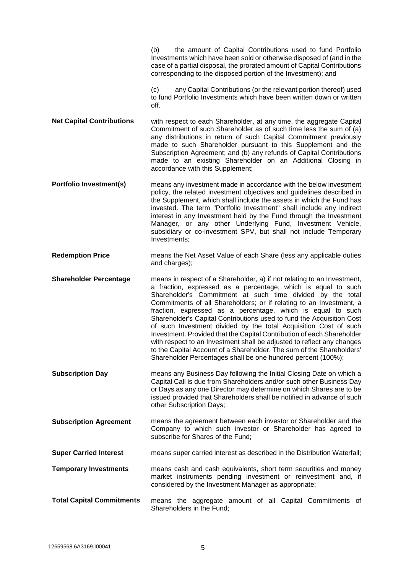|                                  | the amount of Capital Contributions used to fund Portfolio<br>(b)<br>Investments which have been sold or otherwise disposed of (and in the<br>case of a partial disposal, the prorated amount of Capital Contributions<br>corresponding to the disposed portion of the Investment); and<br>any Capital Contributions (or the relevant portion thereof) used<br>(c)<br>to fund Portfolio Investments which have been written down or written<br>off.                                                                                                                                                                                                                                                                                                                                    |
|----------------------------------|----------------------------------------------------------------------------------------------------------------------------------------------------------------------------------------------------------------------------------------------------------------------------------------------------------------------------------------------------------------------------------------------------------------------------------------------------------------------------------------------------------------------------------------------------------------------------------------------------------------------------------------------------------------------------------------------------------------------------------------------------------------------------------------|
| <b>Net Capital Contributions</b> | with respect to each Shareholder, at any time, the aggregate Capital<br>Commitment of such Shareholder as of such time less the sum of (a)<br>any distributions in return of such Capital Commitment previously<br>made to such Shareholder pursuant to this Supplement and the<br>Subscription Agreement; and (b) any refunds of Capital Contributions<br>made to an existing Shareholder on an Additional Closing in<br>accordance with this Supplement;                                                                                                                                                                                                                                                                                                                             |
| <b>Portfolio Investment(s)</b>   | means any investment made in accordance with the below investment<br>policy, the related investment objectives and guidelines described in<br>the Supplement, which shall include the assets in which the Fund has<br>invested. The term "Portfolio Investment" shall include any indirect<br>interest in any Investment held by the Fund through the Investment<br>Manager, or any other Underlying Fund, Investment Vehicle,<br>subsidiary or co-investment SPV, but shall not include Temporary<br>Investments;                                                                                                                                                                                                                                                                     |
| <b>Redemption Price</b>          | means the Net Asset Value of each Share (less any applicable duties<br>and charges);                                                                                                                                                                                                                                                                                                                                                                                                                                                                                                                                                                                                                                                                                                   |
| <b>Shareholder Percentage</b>    | means in respect of a Shareholder, a) if not relating to an Investment,<br>a fraction, expressed as a percentage, which is equal to such<br>Shareholder's Commitment at such time divided by the total<br>Commitments of all Shareholders; or if relating to an Investment, a<br>fraction, expressed as a percentage, which is equal to such<br>Shareholder's Capital Contributions used to fund the Acquisition Cost<br>of such Investment divided by the total Acquisition Cost of such<br>Investment. Provided that the Capital Contribution of each Shareholder<br>with respect to an Investment shall be adjusted to reflect any changes<br>to the Capital Account of a Shareholder. The sum of the Shareholders'<br>Shareholder Percentages shall be one hundred percent (100%); |
| <b>Subscription Day</b>          | means any Business Day following the Initial Closing Date on which a<br>Capital Call is due from Shareholders and/or such other Business Day<br>or Days as any one Director may determine on which Shares are to be<br>issued provided that Shareholders shall be notified in advance of such<br>other Subscription Days;                                                                                                                                                                                                                                                                                                                                                                                                                                                              |
| <b>Subscription Agreement</b>    | means the agreement between each investor or Shareholder and the<br>Company to which such investor or Shareholder has agreed to<br>subscribe for Shares of the Fund;                                                                                                                                                                                                                                                                                                                                                                                                                                                                                                                                                                                                                   |
| <b>Super Carried Interest</b>    | means super carried interest as described in the Distribution Waterfall;                                                                                                                                                                                                                                                                                                                                                                                                                                                                                                                                                                                                                                                                                                               |
| <b>Temporary Investments</b>     | means cash and cash equivalents, short term securities and money<br>market instruments pending investment or reinvestment and, if<br>considered by the Investment Manager as appropriate;                                                                                                                                                                                                                                                                                                                                                                                                                                                                                                                                                                                              |
| <b>Total Capital Commitments</b> | means the aggregate amount of all Capital Commitments of<br>Shareholders in the Fund;                                                                                                                                                                                                                                                                                                                                                                                                                                                                                                                                                                                                                                                                                                  |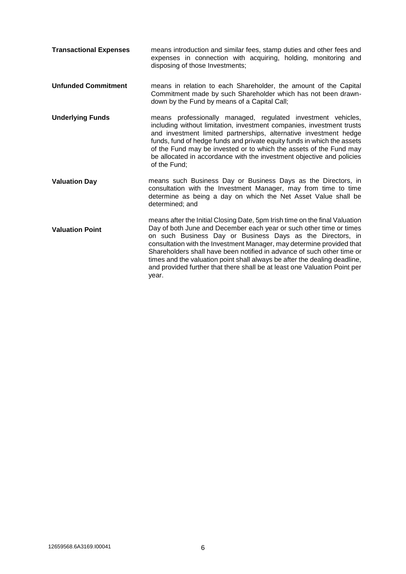| <b>Transactional Expenses</b> | means introduction and similar fees, stamp duties and other fees and<br>expenses in connection with acquiring, holding, monitoring and<br>disposing of those Investments;                                                                                                                                                                                                                                                                                                                                                              |
|-------------------------------|----------------------------------------------------------------------------------------------------------------------------------------------------------------------------------------------------------------------------------------------------------------------------------------------------------------------------------------------------------------------------------------------------------------------------------------------------------------------------------------------------------------------------------------|
| <b>Unfunded Commitment</b>    | means in relation to each Shareholder, the amount of the Capital<br>Commitment made by such Shareholder which has not been drawn-<br>down by the Fund by means of a Capital Call;                                                                                                                                                                                                                                                                                                                                                      |
| <b>Underlying Funds</b>       | means professionally managed, regulated investment vehicles,<br>including without limitation, investment companies, investment trusts<br>and investment limited partnerships, alternative investment hedge<br>funds, fund of hedge funds and private equity funds in which the assets<br>of the Fund may be invested or to which the assets of the Fund may<br>be allocated in accordance with the investment objective and policies<br>of the Fund;                                                                                   |
| <b>Valuation Day</b>          | means such Business Day or Business Days as the Directors, in<br>consultation with the Investment Manager, may from time to time<br>determine as being a day on which the Net Asset Value shall be<br>determined; and                                                                                                                                                                                                                                                                                                                  |
| <b>Valuation Point</b>        | means after the Initial Closing Date, 5pm Irish time on the final Valuation<br>Day of both June and December each year or such other time or times<br>on such Business Day or Business Days as the Directors, in<br>consultation with the Investment Manager, may determine provided that<br>Shareholders shall have been notified in advance of such other time or<br>times and the valuation point shall always be after the dealing deadline,<br>and provided further that there shall be at least one Valuation Point per<br>year. |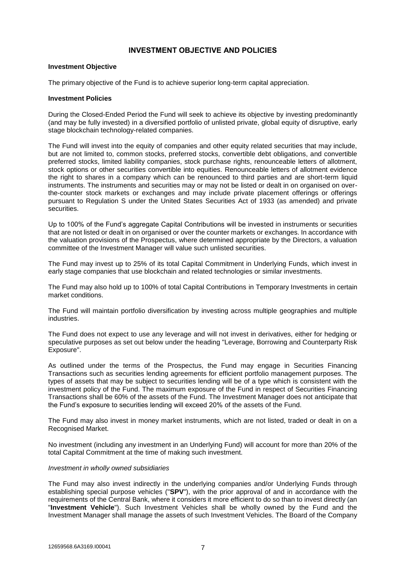## **INVESTMENT OBJECTIVE AND POLICIES**

#### **Investment Objective**

The primary objective of the Fund is to achieve superior long-term capital appreciation.

#### **Investment Policies**

During the Closed-Ended Period the Fund will seek to achieve its objective by investing predominantly (and may be fully invested) in a diversified portfolio of unlisted private, global equity of disruptive, early stage blockchain technology-related companies.

The Fund will invest into the equity of companies and other equity related securities that may include, but are not limited to, common stocks, preferred stocks, convertible debt obligations, and convertible preferred stocks, limited liability companies, stock purchase rights, renounceable letters of allotment, stock options or other securities convertible into equities. Renounceable letters of allotment evidence the right to shares in a company which can be renounced to third parties and are short-term liquid instruments. The instruments and securities may or may not be listed or dealt in on organised on overthe-counter stock markets or exchanges and may include private placement offerings or offerings pursuant to Regulation S under the United States Securities Act of 1933 (as amended) and private securities.

Up to 100% of the Fund's aggregate Capital Contributions will be invested in instruments or securities that are not listed or dealt in on organised or over the counter markets or exchanges. In accordance with the valuation provisions of the Prospectus, where determined appropriate by the Directors, a valuation committee of the Investment Manager will value such unlisted securities.

The Fund may invest up to 25% of its total Capital Commitment in Underlying Funds, which invest in early stage companies that use blockchain and related technologies or similar investments.

The Fund may also hold up to 100% of total Capital Contributions in Temporary Investments in certain market conditions.

The Fund will maintain portfolio diversification by investing across multiple geographies and multiple industries.

The Fund does not expect to use any leverage and will not invest in derivatives, either for hedging or speculative purposes as set out below under the heading "Leverage, Borrowing and Counterparty Risk Exposure".

As outlined under the terms of the Prospectus, the Fund may engage in Securities Financing Transactions such as securities lending agreements for efficient portfolio management purposes. The types of assets that may be subject to securities lending will be of a type which is consistent with the investment policy of the Fund. The maximum exposure of the Fund in respect of Securities Financing Transactions shall be 60% of the assets of the Fund. The Investment Manager does not anticipate that the Fund's exposure to securities lending will exceed 20% of the assets of the Fund.

The Fund may also invest in money market instruments, which are not listed, traded or dealt in on a Recognised Market.

No investment (including any investment in an Underlying Fund) will account for more than 20% of the total Capital Commitment at the time of making such investment.

#### *Investment in wholly owned subsidiaries*

The Fund may also invest indirectly in the underlying companies and/or Underlying Funds through establishing special purpose vehicles ("**SPV**"), with the prior approval of and in accordance with the requirements of the Central Bank, where it considers it more efficient to do so than to invest directly (an "**Investment Vehicle**"). Such Investment Vehicles shall be wholly owned by the Fund and the Investment Manager shall manage the assets of such Investment Vehicles. The Board of the Company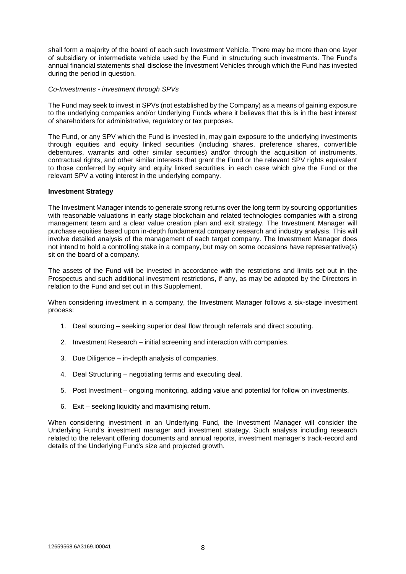shall form a majority of the board of each such Investment Vehicle. There may be more than one layer of subsidiary or intermediate vehicle used by the Fund in structuring such investments. The Fund's annual financial statements shall disclose the Investment Vehicles through which the Fund has invested during the period in question.

#### *Co-Investments - investment through SPVs*

The Fund may seek to invest in SPVs (not established by the Company) as a means of gaining exposure to the underlying companies and/or Underlying Funds where it believes that this is in the best interest of shareholders for administrative, regulatory or tax purposes.

The Fund, or any SPV which the Fund is invested in, may gain exposure to the underlying investments through equities and equity linked securities (including shares, preference shares, convertible debentures, warrants and other similar securities) and/or through the acquisition of instruments, contractual rights, and other similar interests that grant the Fund or the relevant SPV rights equivalent to those conferred by equity and equity linked securities, in each case which give the Fund or the relevant SPV a voting interest in the underlying company.

#### **Investment Strategy**

The Investment Manager intends to generate strong returns over the long term by sourcing opportunities with reasonable valuations in early stage blockchain and related technologies companies with a strong management team and a clear value creation plan and exit strategy. The Investment Manager will purchase equities based upon in-depth fundamental company research and industry analysis. This will involve detailed analysis of the management of each target company. The Investment Manager does not intend to hold a controlling stake in a company, but may on some occasions have representative(s) sit on the board of a company.

The assets of the Fund will be invested in accordance with the restrictions and limits set out in the Prospectus and such additional investment restrictions, if any, as may be adopted by the Directors in relation to the Fund and set out in this Supplement.

When considering investment in a company, the Investment Manager follows a six-stage investment process:

- 1. Deal sourcing seeking superior deal flow through referrals and direct scouting.
- 2. Investment Research initial screening and interaction with companies.
- 3. Due Diligence in-depth analysis of companies.
- 4. Deal Structuring negotiating terms and executing deal.
- 5. Post Investment ongoing monitoring, adding value and potential for follow on investments.
- 6. Exit seeking liquidity and maximising return.

When considering investment in an Underlying Fund, the Investment Manager will consider the Underlying Fund's investment manager and investment strategy. Such analysis including research related to the relevant offering documents and annual reports, investment manager's track-record and details of the Underlying Fund's size and projected growth.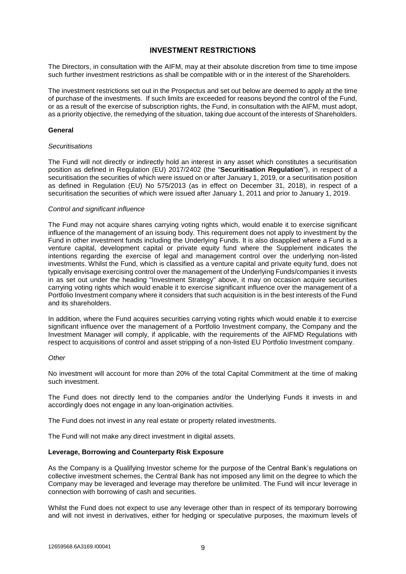## **INVESTMENT RESTRICTIONS**

The Directors, in consultation with the AIFM, may at their absolute discretion from time to time impose such further investment restrictions as shall be compatible with or in the interest of the Shareholders.

The investment restrictions set out in the Prospectus and set out below are deemed to apply at the time of purchase of the investments. If such limits are exceeded for reasons beyond the control of the Fund, or as a result of the exercise of subscription rights, the Fund, in consultation with the AIFM, must adopt, as a priority objective, the remedying of the situation, taking due account of the interests of Shareholders.

#### **General**

#### *Securitisations*

The Fund will not directly or indirectly hold an interest in any asset which constitutes a securitisation position as defined in Regulation (EU) 2017/2402 (the "**Securitisation Regulation**"), in respect of a securitisation the securities of which were issued on or after January 1, 2019, or a securitisation position as defined in Regulation (EU) No 575/2013 (as in effect on December 31, 2018), in respect of a securitisation the securities of which were issued after January 1, 2011 and prior to January 1, 2019.

#### *Control and significant influence*

The Fund may not acquire shares carrying voting rights which, would enable it to exercise significant influence of the management of an issuing body. This requirement does not apply to investment by the Fund in other investment funds including the Underlying Funds. It is also disapplied where a Fund is a venture capital, development capital or private equity fund where the Supplement indicates the intentions regarding the exercise of legal and management control over the underlying non-listed investments. Whilst the Fund, which is classified as a venture capital and private equity fund, does not typically envisage exercising control over the management of the Underlying Funds/companies it invests in as set out under the heading "Investment Strategy" above, it may on occasion acquire securities carrying voting rights which would enable it to exercise significant influence over the management of a Portfolio Investment company where it considers that such acquisition is in the best interests of the Fund and its shareholders.

In addition, where the Fund acquires securities carrying voting rights which would enable it to exercise significant influence over the management of a Portfolio Investment company, the Company and the Investment Manager will comply, if applicable, with the requirements of the AIFMD Regulations with respect to acquisitions of control and asset stripping of a non-listed EU Portfolio Investment company.

#### *Other*

No investment will account for more than 20% of the total Capital Commitment at the time of making such investment.

The Fund does not directly lend to the companies and/or the Underlying Funds it invests in and accordingly does not engage in any loan-origination activities.

The Fund does not invest in any real estate or property related investments.

The Fund will not make any direct investment in digital assets.

#### **Leverage, Borrowing and Counterparty Risk Exposure**

As the Company is a Qualifying Investor scheme for the purpose of the Central Bank's regulations on collective investment schemes, the Central Bank has not imposed any limit on the degree to which the Company may be leveraged and leverage may therefore be unlimited. The Fund will incur leverage in connection with borrowing of cash and securities.

Whilst the Fund does not expect to use any leverage other than in respect of its temporary borrowing and will not invest in derivatives, either for hedging or speculative purposes, the maximum levels of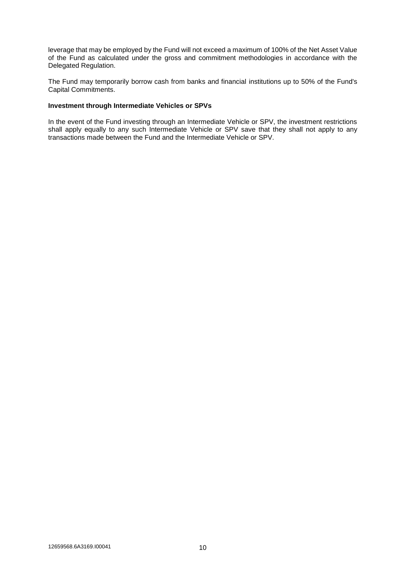leverage that may be employed by the Fund will not exceed a maximum of 100% of the Net Asset Value of the Fund as calculated under the gross and commitment methodologies in accordance with the Delegated Regulation.

The Fund may temporarily borrow cash from banks and financial institutions up to 50% of the Fund's Capital Commitments.

#### **Investment through Intermediate Vehicles or SPVs**

In the event of the Fund investing through an Intermediate Vehicle or SPV, the investment restrictions shall apply equally to any such Intermediate Vehicle or SPV save that they shall not apply to any transactions made between the Fund and the Intermediate Vehicle or SPV.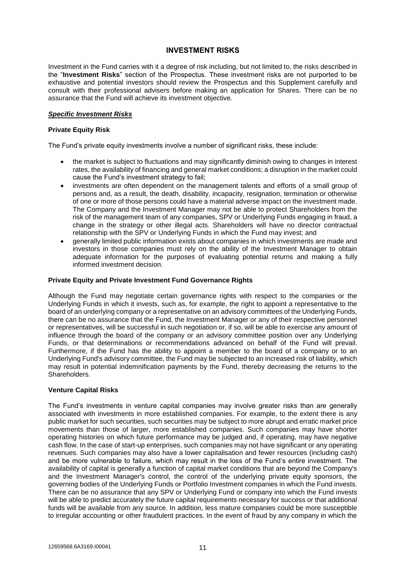## **INVESTMENT RISKS**

Investment in the Fund carries with it a degree of risk including, but not limited to, the risks described in the "**Investment Risks**" section of the Prospectus. These investment risks are not purported to be exhaustive and potential investors should review the Prospectus and this Supplement carefully and consult with their professional advisers before making an application for Shares. There can be no assurance that the Fund will achieve its investment objective.

## *Specific Investment Risks*

#### **Private Equity Risk**

The Fund's private equity investments involve a number of significant risks, these include:

- the market is subject to fluctuations and may significantly diminish owing to changes in interest rates, the availability of financing and general market conditions; a disruption in the market could cause the Fund's investment strategy to fail;
- investments are often dependent on the management talents and efforts of a small group of persons and, as a result, the death, disability, incapacity, resignation, termination or otherwise of one or more of those persons could have a material adverse impact on the investment made. The Company and the Investment Manager may not be able to protect Shareholders from the risk of the management team of any companies, SPV or Underlying Funds engaging in fraud, a change in the strategy or other illegal acts. Shareholders will have no director contractual relationship with the SPV or Underlying Funds in which the Fund may invest; and
- generally limited public information exists about companies in which investments are made and investors in those companies must rely on the ability of the Investment Manager to obtain adequate information for the purposes of evaluating potential returns and making a fully informed investment decision.

## **Private Equity and Private Investment Fund Governance Rights**

Although the Fund may negotiate certain governance rights with respect to the companies or the Underlying Funds in which it invests, such as, for example, the right to appoint a representative to the board of an underlying company or a representative on an advisory committees of the Underlying Funds, there can be no assurance that the Fund, the Investment Manager or any of their respective personnel or representatives, will be successful in such negotiation or, if so, will be able to exercise any amount of influence through the board of the company or an advisory committee position over any Underlying Funds, or that determinations or recommendations advanced on behalf of the Fund will prevail. Furthermore, if the Fund has the ability to appoint a member to the board of a company or to an Underlying Fund's advisory committee, the Fund may be subjected to an increased risk of liability, which may result in potential indemnification payments by the Fund, thereby decreasing the returns to the Shareholders.

#### **Venture Capital Risks**

The Fund's investments in venture capital companies may involve greater risks than are generally associated with investments in more established companies. For example, to the extent there is any public market for such securities, such securities may be subject to more abrupt and erratic market price movements than those of larger, more established companies. Such companies may have shorter operating histories on which future performance may be judged and, if operating, may have negative cash flow. In the case of start-up enterprises, such companies may not have significant or any operating revenues. Such companies may also have a lower capitalisation and fewer resources (including cash) and be more vulnerable to failure, which may result in the loss of the Fund's entire investment. The availability of capital is generally a function of capital market conditions that are beyond the Company's and the Investment Manager's control, the control of the underlying private equity sponsors, the governing bodies of the Underlying Funds or Portfolio Investment companies in which the Fund invests. There can be no assurance that any SPV or Underlying Fund or company into which the Fund invests will be able to predict accurately the future capital requirements necessary for success or that additional funds will be available from any source. In addition, less mature companies could be more susceptible to irregular accounting or other fraudulent practices. In the event of fraud by any company in which the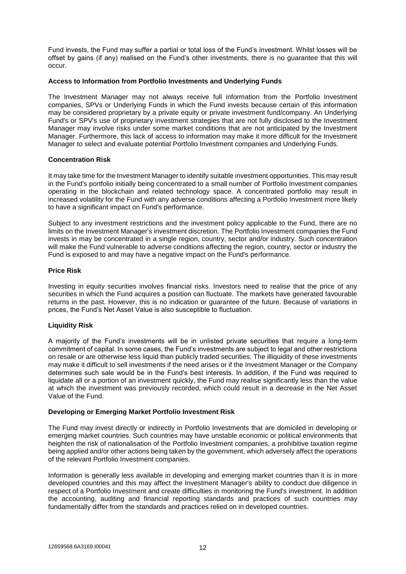Fund invests, the Fund may suffer a partial or total loss of the Fund's investment. Whilst losses will be offset by gains (if any) realised on the Fund's other investments, there is no guarantee that this will occur.

#### **Access to Information from Portfolio Investments and Underlying Funds**

The Investment Manager may not always receive full information from the Portfolio Investment companies, SPVs or Underlying Funds in which the Fund invests because certain of this information may be considered proprietary by a private equity or private investment fund/company. An Underlying Fund's or SPV's use of proprietary investment strategies that are not fully disclosed to the Investment Manager may involve risks under some market conditions that are not anticipated by the Investment Manager. Furthermore, this lack of access to information may make it more difficult for the Investment Manager to select and evaluate potential Portfolio Investment companies and Underlying Funds.

## **Concentration Risk**

It may take time for the Investment Manager to identify suitable investment opportunities. This may result in the Fund's portfolio initially being concentrated to a small number of Portfolio Investment companies operating in the blockchain and related technology space. A concentrated portfolio may result in increased volatility for the Fund with any adverse conditions affecting a Portfolio Investment more likely to have a significant impact on Fund's performance.

Subject to any investment restrictions and the investment policy applicable to the Fund, there are no limits on the Investment Manager's investment discretion. The Portfolio Investment companies the Fund invests in may be concentrated in a single region, country, sector and/or industry. Such concentration will make the Fund vulnerable to adverse conditions affecting the region, country, sector or industry the Fund is exposed to and may have a negative impact on the Fund's performance.

#### **Price Risk**

Investing in equity securities involves financial risks. Investors need to realise that the price of any securities in which the Fund acquires a position can fluctuate. The markets have generated favourable returns in the past. However, this is no indication or guarantee of the future. Because of variations in prices, the Fund's Net Asset Value is also susceptible to fluctuation.

## **Liquidity Risk**

A majority of the Fund's investments will be in unlisted private securities that require a long-term commitment of capital. In some cases, the Fund's investments are subject to legal and other restrictions on resale or are otherwise less liquid than publicly traded securities. The illiquidity of these investments may make it difficult to sell investments if the need arises or if the Investment Manager or the Company determines such sale would be in the Fund's best interests. In addition, if the Fund was required to liquidate all or a portion of an investment quickly, the Fund may realise significantly less than the value at which the investment was previously recorded, which could result in a decrease in the Net Asset Value of the Fund.

#### **Developing or Emerging Market Portfolio Investment Risk**

The Fund may invest directly or indirectly in Portfolio Investments that are domiciled in developing or emerging market countries. Such countries may have unstable economic or political environments that heighten the risk of nationalisation of the Portfolio Investment companies, a prohibitive taxation regime being applied and/or other actions being taken by the government, which adversely affect the operations of the relevant Portfolio Investment companies.

Information is generally less available in developing and emerging market countries than it is in more developed countries and this may affect the Investment Manager's ability to conduct due diligence in respect of a Portfolio Investment and create difficulties in monitoring the Fund's investment. In addition the accounting, auditing and financial reporting standards and practices of such countries may fundamentally differ from the standards and practices relied on in developed countries.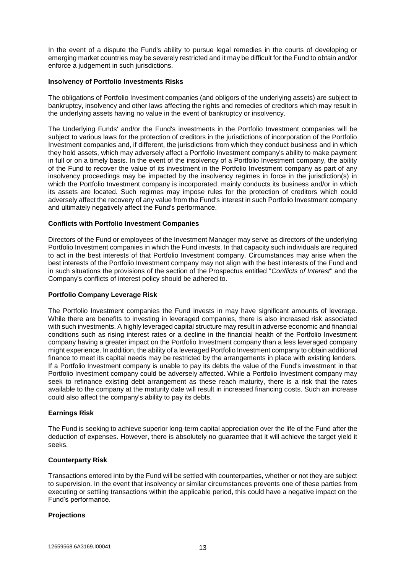In the event of a dispute the Fund's ability to pursue legal remedies in the courts of developing or emerging market countries may be severely restricted and it may be difficult for the Fund to obtain and/or enforce a judgement in such jurisdictions.

#### **Insolvency of Portfolio Investments Risks**

The obligations of Portfolio Investment companies (and obligors of the underlying assets) are subject to bankruptcy, insolvency and other laws affecting the rights and remedies of creditors which may result in the underlying assets having no value in the event of bankruptcy or insolvency.

The Underlying Funds' and/or the Fund's investments in the Portfolio Investment companies will be subject to various laws for the protection of creditors in the jurisdictions of incorporation of the Portfolio Investment companies and, if different, the jurisdictions from which they conduct business and in which they hold assets, which may adversely affect a Portfolio Investment company's ability to make payment in full or on a timely basis. In the event of the insolvency of a Portfolio Investment company, the ability of the Fund to recover the value of its investment in the Portfolio Investment company as part of any insolvency proceedings may be impacted by the insolvency regimes in force in the jurisdiction(s) in which the Portfolio Investment company is incorporated, mainly conducts its business and/or in which its assets are located. Such regimes may impose rules for the protection of creditors which could adversely affect the recovery of any value from the Fund's interest in such Portfolio Investment company and ultimately negatively affect the Fund's performance.

## **Conflicts with Portfolio Investment Companies**

Directors of the Fund or employees of the Investment Manager may serve as directors of the underlying Portfolio Investment companies in which the Fund invests. In that capacity such individuals are required to act in the best interests of that Portfolio Investment company. Circumstances may arise when the best interests of the Portfolio Investment company may not align with the best interests of the Fund and in such situations the provisions of the section of the Prospectus entitled "*Conflicts of Interest*" and the Company's conflicts of interest policy should be adhered to.

#### **Portfolio Company Leverage Risk**

The Portfolio Investment companies the Fund invests in may have significant amounts of leverage. While there are benefits to investing in leveraged companies, there is also increased risk associated with such investments. A highly leveraged capital structure may result in adverse economic and financial conditions such as rising interest rates or a decline in the financial health of the Portfolio Investment company having a greater impact on the Portfolio Investment company than a less leveraged company might experience. In addition, the ability of a leveraged Portfolio Investment company to obtain additional finance to meet its capital needs may be restricted by the arrangements in place with existing lenders. If a Portfolio Investment company is unable to pay its debts the value of the Fund's investment in that Portfolio Investment company could be adversely affected. While a Portfolio Investment company may seek to refinance existing debt arrangement as these reach maturity, there is a risk that the rates available to the company at the maturity date will result in increased financing costs. Such an increase could also affect the company's ability to pay its debts.

#### **Earnings Risk**

The Fund is seeking to achieve superior long-term capital appreciation over the life of the Fund after the deduction of expenses. However, there is absolutely no guarantee that it will achieve the target yield it seeks.

#### **Counterparty Risk**

Transactions entered into by the Fund will be settled with counterparties, whether or not they are subject to supervision. In the event that insolvency or similar circumstances prevents one of these parties from executing or settling transactions within the applicable period, this could have a negative impact on the Fund's performance.

#### **Projections**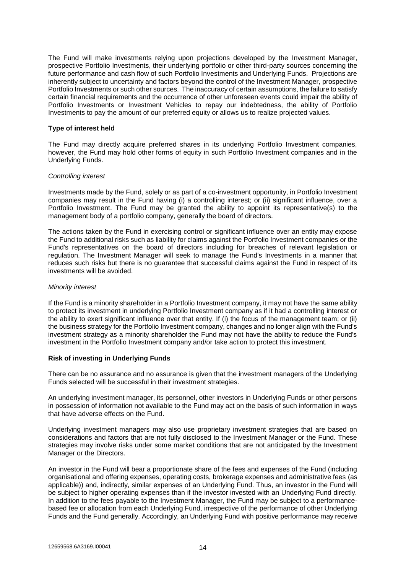The Fund will make investments relying upon projections developed by the Investment Manager, prospective Portfolio Investments, their underlying portfolio or other third-party sources concerning the future performance and cash flow of such Portfolio Investments and Underlying Funds. Projections are inherently subject to uncertainty and factors beyond the control of the Investment Manager, prospective Portfolio Investments or such other sources. The inaccuracy of certain assumptions, the failure to satisfy certain financial requirements and the occurrence of other unforeseen events could impair the ability of Portfolio Investments or Investment Vehicles to repay our indebtedness, the ability of Portfolio Investments to pay the amount of our preferred equity or allows us to realize projected values.

#### **Type of interest held**

The Fund may directly acquire preferred shares in its underlying Portfolio Investment companies, however, the Fund may hold other forms of equity in such Portfolio Investment companies and in the Underlying Funds.

#### *Controlling interest*

Investments made by the Fund, solely or as part of a co-investment opportunity, in Portfolio Investment companies may result in the Fund having (i) a controlling interest; or (ii) significant influence, over a Portfolio Investment. The Fund may be granted the ability to appoint its representative(s) to the management body of a portfolio company, generally the board of directors.

The actions taken by the Fund in exercising control or significant influence over an entity may expose the Fund to additional risks such as liability for claims against the Portfolio Investment companies or the Fund's representatives on the board of directors including for breaches of relevant legislation or regulation. The Investment Manager will seek to manage the Fund's Investments in a manner that reduces such risks but there is no guarantee that successful claims against the Fund in respect of its investments will be avoided.

#### *Minority interest*

If the Fund is a minority shareholder in a Portfolio Investment company, it may not have the same ability to protect its investment in underlying Portfolio Investment company as if it had a controlling interest or the ability to exert significant influence over that entity. If (i) the focus of the management team; or (ii) the business strategy for the Portfolio Investment company, changes and no longer align with the Fund's investment strategy as a minority shareholder the Fund may not have the ability to reduce the Fund's investment in the Portfolio Investment company and/or take action to protect this investment.

#### **Risk of investing in Underlying Funds**

There can be no assurance and no assurance is given that the investment managers of the Underlying Funds selected will be successful in their investment strategies.

An underlying investment manager, its personnel, other investors in Underlying Funds or other persons in possession of information not available to the Fund may act on the basis of such information in ways that have adverse effects on the Fund.

Underlying investment managers may also use proprietary investment strategies that are based on considerations and factors that are not fully disclosed to the Investment Manager or the Fund. These strategies may involve risks under some market conditions that are not anticipated by the Investment Manager or the Directors.

An investor in the Fund will bear a proportionate share of the fees and expenses of the Fund (including organisational and offering expenses, operating costs, brokerage expenses and administrative fees (as applicable)) and, indirectly, similar expenses of an Underlying Fund. Thus, an investor in the Fund will be subject to higher operating expenses than if the investor invested with an Underlying Fund directly. In addition to the fees payable to the Investment Manager, the Fund may be subject to a performancebased fee or allocation from each Underlying Fund, irrespective of the performance of other Underlying Funds and the Fund generally. Accordingly, an Underlying Fund with positive performance may receive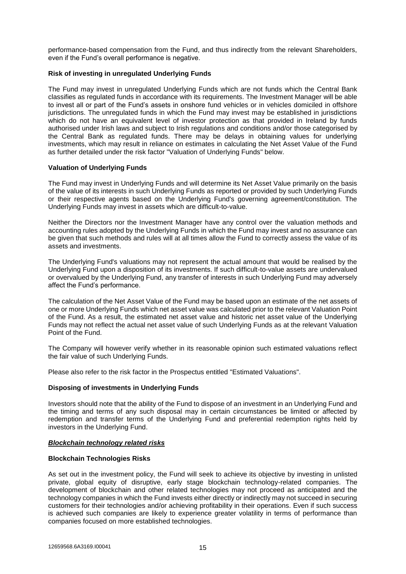performance-based compensation from the Fund, and thus indirectly from the relevant Shareholders, even if the Fund's overall performance is negative.

## **Risk of investing in unregulated Underlying Funds**

The Fund may invest in unregulated Underlying Funds which are not funds which the Central Bank classifies as regulated funds in accordance with its requirements. The Investment Manager will be able to invest all or part of the Fund's assets in onshore fund vehicles or in vehicles domiciled in offshore jurisdictions. The unregulated funds in which the Fund may invest may be established in jurisdictions which do not have an equivalent level of investor protection as that provided in Ireland by funds authorised under Irish laws and subject to Irish regulations and conditions and/or those categorised by the Central Bank as regulated funds. There may be delays in obtaining values for underlying investments, which may result in reliance on estimates in calculating the Net Asset Value of the Fund as further detailed under the risk factor "Valuation of Underlying Funds" below.

## **Valuation of Underlying Funds**

The Fund may invest in Underlying Funds and will determine its Net Asset Value primarily on the basis of the value of its interests in such Underlying Funds as reported or provided by such Underlying Funds or their respective agents based on the Underlying Fund's governing agreement/constitution. The Underlying Funds may invest in assets which are difficult-to-value.

Neither the Directors nor the Investment Manager have any control over the valuation methods and accounting rules adopted by the Underlying Funds in which the Fund may invest and no assurance can be given that such methods and rules will at all times allow the Fund to correctly assess the value of its assets and investments.

The Underlying Fund's valuations may not represent the actual amount that would be realised by the Underlying Fund upon a disposition of its investments. If such difficult-to-value assets are undervalued or overvalued by the Underlying Fund, any transfer of interests in such Underlying Fund may adversely affect the Fund's performance.

The calculation of the Net Asset Value of the Fund may be based upon an estimate of the net assets of one or more Underlying Funds which net asset value was calculated prior to the relevant Valuation Point of the Fund. As a result, the estimated net asset value and historic net asset value of the Underlying Funds may not reflect the actual net asset value of such Underlying Funds as at the relevant Valuation Point of the Fund.

The Company will however verify whether in its reasonable opinion such estimated valuations reflect the fair value of such Underlying Funds.

Please also refer to the risk factor in the Prospectus entitled "Estimated Valuations".

#### **Disposing of investments in Underlying Funds**

Investors should note that the ability of the Fund to dispose of an investment in an Underlying Fund and the timing and terms of any such disposal may in certain circumstances be limited or affected by redemption and transfer terms of the Underlying Fund and preferential redemption rights held by investors in the Underlying Fund.

#### *Blockchain technology related risks*

#### **Blockchain Technologies Risks**

As set out in the investment policy, the Fund will seek to achieve its objective by investing in unlisted private, global equity of disruptive, early stage blockchain technology-related companies. The development of blockchain and other related technologies may not proceed as anticipated and the technology companies in which the Fund invests either directly or indirectly may not succeed in securing customers for their technologies and/or achieving profitability in their operations. Even if such success is achieved such companies are likely to experience greater volatility in terms of performance than companies focused on more established technologies.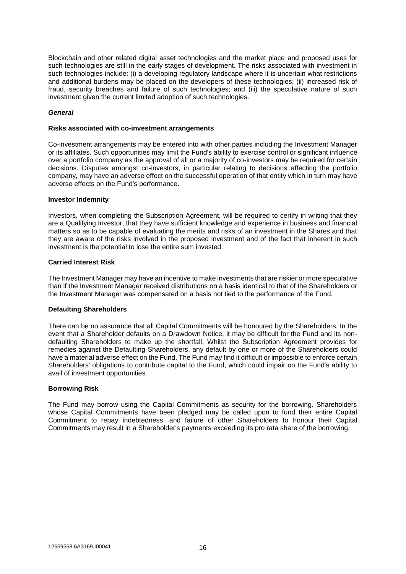Blockchain and other related digital asset technologies and the market place and proposed uses for such technologies are still in the early stages of development. The risks associated with investment in such technologies include: (i) a developing regulatory landscape where it is uncertain what restrictions and additional burdens may be placed on the developers of these technologies; (ii) increased risk of fraud, security breaches and failure of such technologies; and (iii) the speculative nature of such investment given the current limited adoption of such technologies.

## *General*

#### **Risks associated with co-investment arrangements**

Co-investment arrangements may be entered into with other parties including the Investment Manager or its affiliates. Such opportunities may limit the Fund's ability to exercise control or significant influence over a portfolio company as the approval of all or a majority of co-investors may be required for certain decisions. Disputes amongst co-investors, in particular relating to decisions affecting the portfolio company, may have an adverse effect on the successful operation of that entity which in turn may have adverse effects on the Fund's performance.

#### **Investor Indemnity**

Investors, when completing the Subscription Agreement, will be required to certify in writing that they are a Qualifying Investor, that they have sufficient knowledge and experience in business and financial matters so as to be capable of evaluating the merits and risks of an investment in the Shares and that they are aware of the risks involved in the proposed investment and of the fact that inherent in such investment is the potential to lose the entire sum invested.

#### **Carried Interest Risk**

The Investment Manager may have an incentive to make investments that are riskier or more speculative than if the Investment Manager received distributions on a basis identical to that of the Shareholders or the Investment Manager was compensated on a basis not tied to the performance of the Fund.

#### **Defaulting Shareholders**

There can be no assurance that all Capital Commitments will be honoured by the Shareholders. In the event that a Shareholder defaults on a Drawdown Notice, it may be difficult for the Fund and its nondefaulting Shareholders to make up the shortfall. Whilst the Subscription Agreement provides for remedies against the Defaulting Shareholders, any default by one or more of the Shareholders could have a material adverse effect on the Fund. The Fund may find it difficult or impossible to enforce certain Shareholders' obligations to contribute capital to the Fund, which could impair on the Fund's ability to avail of investment opportunities.

#### **Borrowing Risk**

The Fund may borrow using the Capital Commitments as security for the borrowing. Shareholders whose Capital Commitments have been pledged may be called upon to fund their entire Capital Commitment to repay indebtedness, and failure of other Shareholders to honour their Capital Commitments may result in a Shareholder's payments exceeding its pro rata share of the borrowing.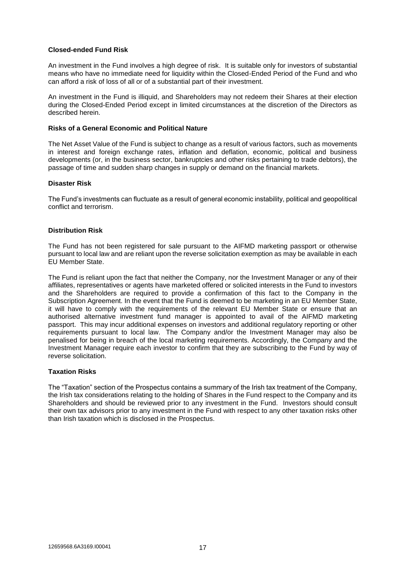## **Closed-ended Fund Risk**

An investment in the Fund involves a high degree of risk. It is suitable only for investors of substantial means who have no immediate need for liquidity within the Closed-Ended Period of the Fund and who can afford a risk of loss of all or of a substantial part of their investment.

An investment in the Fund is illiquid, and Shareholders may not redeem their Shares at their election during the Closed-Ended Period except in limited circumstances at the discretion of the Directors as described herein.

#### **Risks of a General Economic and Political Nature**

The Net Asset Value of the Fund is subject to change as a result of various factors, such as movements in interest and foreign exchange rates, inflation and deflation, economic, political and business developments (or, in the business sector, bankruptcies and other risks pertaining to trade debtors), the passage of time and sudden sharp changes in supply or demand on the financial markets.

#### **Disaster Risk**

The Fund's investments can fluctuate as a result of general economic instability, political and geopolitical conflict and terrorism.

#### **Distribution Risk**

The Fund has not been registered for sale pursuant to the AIFMD marketing passport or otherwise pursuant to local law and are reliant upon the reverse solicitation exemption as may be available in each EU Member State.

The Fund is reliant upon the fact that neither the Company, nor the Investment Manager or any of their affiliates, representatives or agents have marketed offered or solicited interests in the Fund to investors and the Shareholders are required to provide a confirmation of this fact to the Company in the Subscription Agreement. In the event that the Fund is deemed to be marketing in an EU Member State, it will have to comply with the requirements of the relevant EU Member State or ensure that an authorised alternative investment fund manager is appointed to avail of the AIFMD marketing passport. This may incur additional expenses on investors and additional regulatory reporting or other requirements pursuant to local law. The Company and/or the Investment Manager may also be penalised for being in breach of the local marketing requirements. Accordingly, the Company and the Investment Manager require each investor to confirm that they are subscribing to the Fund by way of reverse solicitation.

## **Taxation Risks**

The "Taxation" section of the Prospectus contains a summary of the Irish tax treatment of the Company, the Irish tax considerations relating to the holding of Shares in the Fund respect to the Company and its Shareholders and should be reviewed prior to any investment in the Fund. Investors should consult their own tax advisors prior to any investment in the Fund with respect to any other taxation risks other than Irish taxation which is disclosed in the Prospectus.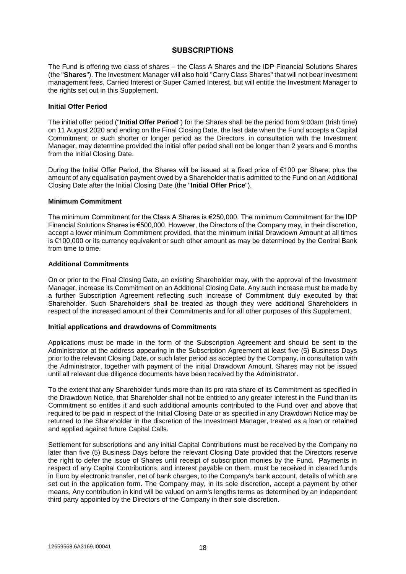## **SUBSCRIPTIONS**

The Fund is offering two class of shares – the Class A Shares and the IDP Financial Solutions Shares (the "**Shares**"). The Investment Manager will also hold "Carry Class Shares" that will not bear investment management fees, Carried Interest or Super Carried Interest, but will entitle the Investment Manager to the rights set out in this Supplement.

#### **Initial Offer Period**

The initial offer period ("**Initial Offer Period**") for the Shares shall be the period from 9:00am (Irish time) on 11 August 2020 and ending on the Final Closing Date, the last date when the Fund accepts a Capital Commitment, or such shorter or longer period as the Directors, in consultation with the Investment Manager, may determine provided the initial offer period shall not be longer than 2 years and 6 months from the Initial Closing Date.

During the Initial Offer Period, the Shares will be issued at a fixed price of €100 per Share, plus the amount of any equalisation payment owed by a Shareholder that is admitted to the Fund on an Additional Closing Date after the Initial Closing Date (the "**Initial Offer Price**").

#### **Minimum Commitment**

The minimum Commitment for the Class A Shares is €250,000. The minimum Commitment for the IDP Financial Solutions Shares is €500,000. However, the Directors of the Company may, in their discretion, accept a lower minimum Commitment provided, that the minimum initial Drawdown Amount at all times is €100,000 or its currency equivalent or such other amount as may be determined by the Central Bank from time to time.

## **Additional Commitments**

On or prior to the Final Closing Date, an existing Shareholder may, with the approval of the Investment Manager, increase its Commitment on an Additional Closing Date. Any such increase must be made by a further Subscription Agreement reflecting such increase of Commitment duly executed by that Shareholder. Such Shareholders shall be treated as though they were additional Shareholders in respect of the increased amount of their Commitments and for all other purposes of this Supplement.

#### **Initial applications and drawdowns of Commitments**

Applications must be made in the form of the Subscription Agreement and should be sent to the Administrator at the address appearing in the Subscription Agreement at least five (5) Business Days prior to the relevant Closing Date, or such later period as accepted by the Company, in consultation with the Administrator, together with payment of the initial Drawdown Amount. Shares may not be issued until all relevant due diligence documents have been received by the Administrator.

To the extent that any Shareholder funds more than its pro rata share of its Commitment as specified in the Drawdown Notice, that Shareholder shall not be entitled to any greater interest in the Fund than its Commitment so entitles it and such additional amounts contributed to the Fund over and above that required to be paid in respect of the Initial Closing Date or as specified in any Drawdown Notice may be returned to the Shareholder in the discretion of the Investment Manager, treated as a loan or retained and applied against future Capital Calls.

Settlement for subscriptions and any initial Capital Contributions must be received by the Company no later than five (5) Business Days before the relevant Closing Date provided that the Directors reserve the right to defer the issue of Shares until receipt of subscription monies by the Fund. Payments in respect of any Capital Contributions, and interest payable on them, must be received in cleared funds in Euro by electronic transfer, net of bank charges, to the Company's bank account, details of which are set out in the application form. The Company may, in its sole discretion, accept a payment by other means. Any contribution in kind will be valued on arm's lengths terms as determined by an independent third party appointed by the Directors of the Company in their sole discretion.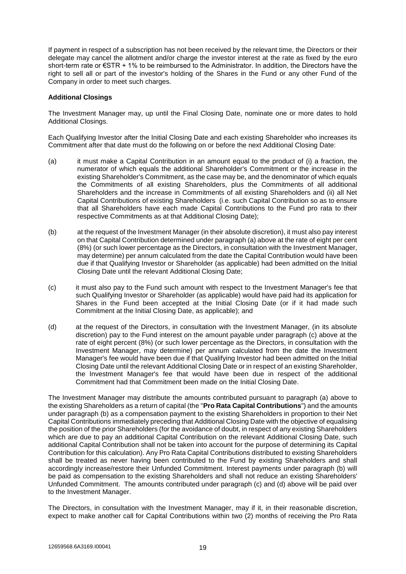If payment in respect of a subscription has not been received by the relevant time, the Directors or their delegate may cancel the allotment and/or charge the investor interest at the rate as fixed by the euro short-term rate or €STR + 1% to be reimbursed to the Administrator. In addition, the Directors have the right to sell all or part of the investor's holding of the Shares in the Fund or any other Fund of the Company in order to meet such charges.

#### **Additional Closings**

The Investment Manager may, up until the Final Closing Date, nominate one or more dates to hold Additional Closings.

Each Qualifying Investor after the Initial Closing Date and each existing Shareholder who increases its Commitment after that date must do the following on or before the next Additional Closing Date:

- (a) it must make a Capital Contribution in an amount equal to the product of (i) a fraction, the numerator of which equals the additional Shareholder's Commitment or the increase in the existing Shareholder's Commitment, as the case may be, and the denominator of which equals the Commitments of all existing Shareholders, plus the Commitments of all additional Shareholders and the increase in Commitments of all existing Shareholders and (ii) all Net Capital Contributions of existing Shareholders (i.e. such Capital Contribution so as to ensure that all Shareholders have each made Capital Contributions to the Fund pro rata to their respective Commitments as at that Additional Closing Date);
- (b) at the request of the Investment Manager (in their absolute discretion), it must also pay interest on that Capital Contribution determined under paragraph (a) above at the rate of eight per cent (8%) (or such lower percentage as the Directors, in consultation with the Investment Manager, may determine) per annum calculated from the date the Capital Contribution would have been due if that Qualifying Investor or Shareholder (as applicable) had been admitted on the Initial Closing Date until the relevant Additional Closing Date;
- (c) it must also pay to the Fund such amount with respect to the Investment Manager's fee that such Qualifying Investor or Shareholder (as applicable) would have paid had its application for Shares in the Fund been accepted at the Initial Closing Date (or if it had made such Commitment at the Initial Closing Date, as applicable); and
- (d) at the request of the Directors, in consultation with the Investment Manager, (in its absolute discretion) pay to the Fund interest on the amount payable under paragraph (c) above at the rate of eight percent (8%) (or such lower percentage as the Directors, in consultation with the Investment Manager, may determine) per annum calculated from the date the Investment Manager's fee would have been due if that Qualifying Investor had been admitted on the Initial Closing Date until the relevant Additional Closing Date or in respect of an existing Shareholder, the Investment Manager's fee that would have been due in respect of the additional Commitment had that Commitment been made on the Initial Closing Date.

The Investment Manager may distribute the amounts contributed pursuant to paragraph (a) above to the existing Shareholders as a return of capital (the "**Pro Rata Capital Contributions**") and the amounts under paragraph (b) as a compensation payment to the existing Shareholders in proportion to their Net Capital Contributions immediately preceding that Additional Closing Date with the objective of equalising the position of the prior Shareholders (for the avoidance of doubt, in respect of any existing Shareholders which are due to pay an additional Capital Contribution on the relevant Additional Closing Date, such additional Capital Contribution shall not be taken into account for the purpose of determining its Capital Contribution for this calculation). Any Pro Rata Capital Contributions distributed to existing Shareholders shall be treated as never having been contributed to the Fund by existing Shareholders and shall accordingly increase/restore their Unfunded Commitment. Interest payments under paragraph (b) will be paid as compensation to the existing Shareholders and shall not reduce an existing Shareholders' Unfunded Commitment. The amounts contributed under paragraph (c) and (d) above will be paid over to the Investment Manager.

The Directors, in consultation with the Investment Manager, may if it, in their reasonable discretion, expect to make another call for Capital Contributions within two (2) months of receiving the Pro Rata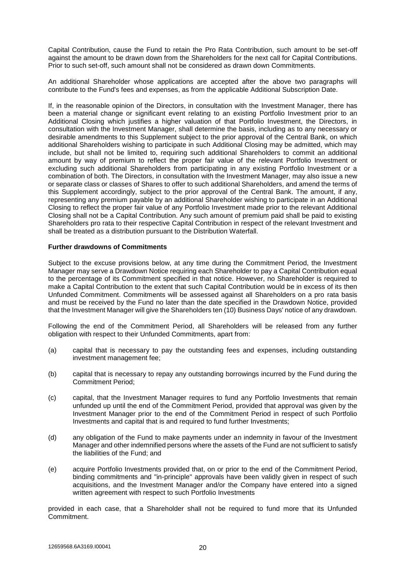Capital Contribution, cause the Fund to retain the Pro Rata Contribution, such amount to be set-off against the amount to be drawn down from the Shareholders for the next call for Capital Contributions. Prior to such set-off, such amount shall not be considered as drawn down Commitments.

An additional Shareholder whose applications are accepted after the above two paragraphs will contribute to the Fund's fees and expenses, as from the applicable Additional Subscription Date.

If, in the reasonable opinion of the Directors, in consultation with the Investment Manager, there has been a material change or significant event relating to an existing Portfolio Investment prior to an Additional Closing which justifies a higher valuation of that Portfolio Investment, the Directors, in consultation with the Investment Manager, shall determine the basis, including as to any necessary or desirable amendments to this Supplement subject to the prior approval of the Central Bank, on which additional Shareholders wishing to participate in such Additional Closing may be admitted, which may include, but shall not be limited to, requiring such additional Shareholders to commit an additional amount by way of premium to reflect the proper fair value of the relevant Portfolio Investment or excluding such additional Shareholders from participating in any existing Portfolio Investment or a combination of both. The Directors, in consultation with the Investment Manager, may also issue a new or separate class or classes of Shares to offer to such additional Shareholders, and amend the terms of this Supplement accordingly, subject to the prior approval of the Central Bank. The amount, if any, representing any premium payable by an additional Shareholder wishing to participate in an Additional Closing to reflect the proper fair value of any Portfolio Investment made prior to the relevant Additional Closing shall not be a Capital Contribution. Any such amount of premium paid shall be paid to existing Shareholders pro rata to their respective Capital Contribution in respect of the relevant Investment and shall be treated as a distribution pursuant to the Distribution Waterfall.

#### **Further drawdowns of Commitments**

Subject to the excuse provisions below, at any time during the Commitment Period, the Investment Manager may serve a Drawdown Notice requiring each Shareholder to pay a Capital Contribution equal to the percentage of its Commitment specified in that notice. However, no Shareholder is required to make a Capital Contribution to the extent that such Capital Contribution would be in excess of its then Unfunded Commitment. Commitments will be assessed against all Shareholders on a pro rata basis and must be received by the Fund no later than the date specified in the Drawdown Notice, provided that the Investment Manager will give the Shareholders ten (10) Business Days' notice of any drawdown.

Following the end of the Commitment Period, all Shareholders will be released from any further obligation with respect to their Unfunded Commitments, apart from:

- (a) capital that is necessary to pay the outstanding fees and expenses, including outstanding investment management fee;
- (b) capital that is necessary to repay any outstanding borrowings incurred by the Fund during the Commitment Period;
- (c) capital, that the Investment Manager requires to fund any Portfolio Investments that remain unfunded up until the end of the Commitment Period, provided that approval was given by the Investment Manager prior to the end of the Commitment Period in respect of such Portfolio Investments and capital that is and required to fund further Investments;
- (d) any obligation of the Fund to make payments under an indemnity in favour of the Investment Manager and other indemnified persons where the assets of the Fund are not sufficient to satisfy the liabilities of the Fund; and
- (e) acquire Portfolio Investments provided that, on or prior to the end of the Commitment Period, binding commitments and "in-principle" approvals have been validly given in respect of such acquisitions, and the Investment Manager and/or the Company have entered into a signed written agreement with respect to such Portfolio Investments

provided in each case, that a Shareholder shall not be required to fund more that its Unfunded Commitment.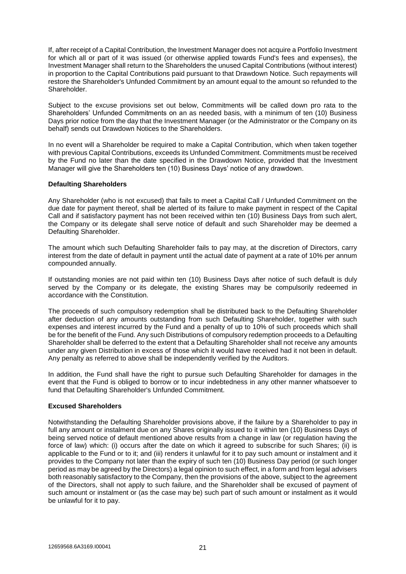If, after receipt of a Capital Contribution, the Investment Manager does not acquire a Portfolio Investment for which all or part of it was issued (or otherwise applied towards Fund's fees and expenses), the Investment Manager shall return to the Shareholders the unused Capital Contributions (without interest) in proportion to the Capital Contributions paid pursuant to that Drawdown Notice. Such repayments will restore the Shareholder's Unfunded Commitment by an amount equal to the amount so refunded to the Shareholder.

Subject to the excuse provisions set out below, Commitments will be called down pro rata to the Shareholders' Unfunded Commitments on an as needed basis, with a minimum of ten (10) Business Days prior notice from the day that the Investment Manager (or the Administrator or the Company on its behalf) sends out Drawdown Notices to the Shareholders.

In no event will a Shareholder be required to make a Capital Contribution, which when taken together with previous Capital Contributions, exceeds its Unfunded Commitment. Commitments must be received by the Fund no later than the date specified in the Drawdown Notice, provided that the Investment Manager will give the Shareholders ten (10) Business Days' notice of any drawdown.

## **Defaulting Shareholders**

Any Shareholder (who is not excused) that fails to meet a Capital Call / Unfunded Commitment on the due date for payment thereof, shall be alerted of its failure to make payment in respect of the Capital Call and if satisfactory payment has not been received within ten (10) Business Days from such alert, the Company or its delegate shall serve notice of default and such Shareholder may be deemed a Defaulting Shareholder.

The amount which such Defaulting Shareholder fails to pay may, at the discretion of Directors, carry interest from the date of default in payment until the actual date of payment at a rate of 10% per annum compounded annually.

If outstanding monies are not paid within ten (10) Business Days after notice of such default is duly served by the Company or its delegate, the existing Shares may be compulsorily redeemed in accordance with the Constitution.

The proceeds of such compulsory redemption shall be distributed back to the Defaulting Shareholder after deduction of any amounts outstanding from such Defaulting Shareholder, together with such expenses and interest incurred by the Fund and a penalty of up to 10% of such proceeds which shall be for the benefit of the Fund. Any such Distributions of compulsory redemption proceeds to a Defaulting Shareholder shall be deferred to the extent that a Defaulting Shareholder shall not receive any amounts under any given Distribution in excess of those which it would have received had it not been in default. Any penalty as referred to above shall be independently verified by the Auditors.

In addition, the Fund shall have the right to pursue such Defaulting Shareholder for damages in the event that the Fund is obliged to borrow or to incur indebtedness in any other manner whatsoever to fund that Defaulting Shareholder's Unfunded Commitment.

## **Excused Shareholders**

Notwithstanding the Defaulting Shareholder provisions above, if the failure by a Shareholder to pay in full any amount or instalment due on any Shares originally issued to it within ten (10) Business Days of being served notice of default mentioned above results from a change in law (or regulation having the force of law) which: (i) occurs after the date on which it agreed to subscribe for such Shares; (ii) is applicable to the Fund or to it; and (iii) renders it unlawful for it to pay such amount or instalment and it provides to the Company not later than the expiry of such ten (10) Business Day period (or such longer period as may be agreed by the Directors) a legal opinion to such effect, in a form and from legal advisers both reasonably satisfactory to the Company, then the provisions of the above, subject to the agreement of the Directors, shall not apply to such failure, and the Shareholder shall be excused of payment of such amount or instalment or (as the case may be) such part of such amount or instalment as it would be unlawful for it to pay.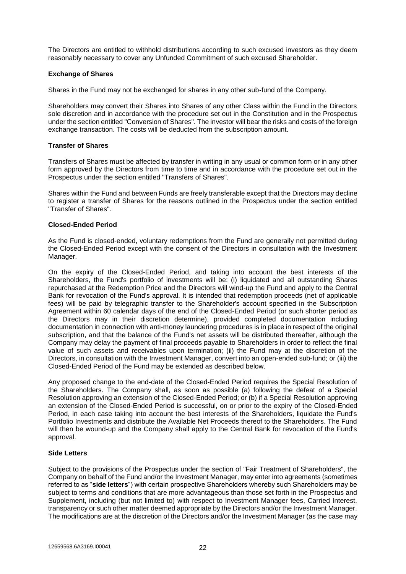The Directors are entitled to withhold distributions according to such excused investors as they deem reasonably necessary to cover any Unfunded Commitment of such excused Shareholder.

## **Exchange of Shares**

Shares in the Fund may not be exchanged for shares in any other sub-fund of the Company.

Shareholders may convert their Shares into Shares of any other Class within the Fund in the Directors sole discretion and in accordance with the procedure set out in the Constitution and in the Prospectus under the section entitled "Conversion of Shares". The investor will bear the risks and costs of the foreign exchange transaction. The costs will be deducted from the subscription amount.

#### **Transfer of Shares**

Transfers of Shares must be affected by transfer in writing in any usual or common form or in any other form approved by the Directors from time to time and in accordance with the procedure set out in the Prospectus under the section entitled "Transfers of Shares".

Shares within the Fund and between Funds are freely transferable except that the Directors may decline to register a transfer of Shares for the reasons outlined in the Prospectus under the section entitled "Transfer of Shares".

## **Closed-Ended Period**

As the Fund is closed-ended, voluntary redemptions from the Fund are generally not permitted during the Closed-Ended Period except with the consent of the Directors in consultation with the Investment Manager.

On the expiry of the Closed-Ended Period, and taking into account the best interests of the Shareholders, the Fund's portfolio of investments will be: (i) liquidated and all outstanding Shares repurchased at the Redemption Price and the Directors will wind-up the Fund and apply to the Central Bank for revocation of the Fund's approval. It is intended that redemption proceeds (net of applicable fees) will be paid by telegraphic transfer to the Shareholder's account specified in the Subscription Agreement within 60 calendar days of the end of the Closed-Ended Period (or such shorter period as the Directors may in their discretion determine), provided completed documentation including documentation in connection with anti-money laundering procedures is in place in respect of the original subscription, and that the balance of the Fund's net assets will be distributed thereafter, although the Company may delay the payment of final proceeds payable to Shareholders in order to reflect the final value of such assets and receivables upon termination; (ii) the Fund may at the discretion of the Directors, in consultation with the Investment Manager, convert into an open-ended sub-fund; or (iii) the Closed-Ended Period of the Fund may be extended as described below.

Any proposed change to the end-date of the Closed-Ended Period requires the Special Resolution of the Shareholders. The Company shall, as soon as possible (a) following the defeat of a Special Resolution approving an extension of the Closed-Ended Period; or (b) if a Special Resolution approving an extension of the Closed-Ended Period is successful, on or prior to the expiry of the Closed-Ended Period, in each case taking into account the best interests of the Shareholders, liquidate the Fund's Portfolio Investments and distribute the Available Net Proceeds thereof to the Shareholders. The Fund will then be wound-up and the Company shall apply to the Central Bank for revocation of the Fund's approval.

## **Side Letters**

Subject to the provisions of the Prospectus under the section of "Fair Treatment of Shareholders", the Company on behalf of the Fund and/or the Investment Manager, may enter into agreements (sometimes referred to as "**side letters**") with certain prospective Shareholders whereby such Shareholders may be subject to terms and conditions that are more advantageous than those set forth in the Prospectus and Supplement, including (but not limited to) with respect to Investment Manager fees, Carried Interest, transparency or such other matter deemed appropriate by the Directors and/or the Investment Manager. The modifications are at the discretion of the Directors and/or the Investment Manager (as the case may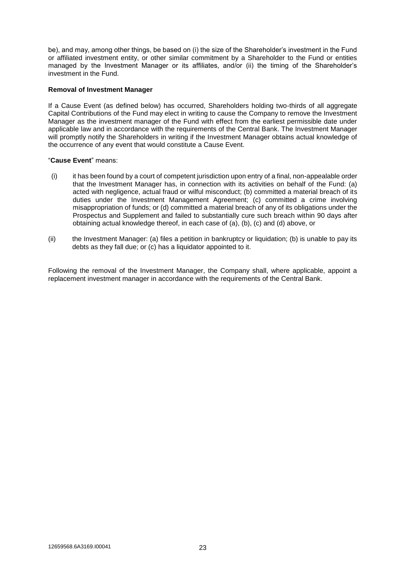be), and may, among other things, be based on (i) the size of the Shareholder's investment in the Fund or affiliated investment entity, or other similar commitment by a Shareholder to the Fund or entities managed by the Investment Manager or its affiliates, and/or (ii) the timing of the Shareholder's investment in the Fund.

## **Removal of Investment Manager**

If a Cause Event (as defined below) has occurred, Shareholders holding two-thirds of all aggregate Capital Contributions of the Fund may elect in writing to cause the Company to remove the Investment Manager as the investment manager of the Fund with effect from the earliest permissible date under applicable law and in accordance with the requirements of the Central Bank. The Investment Manager will promptly notify the Shareholders in writing if the Investment Manager obtains actual knowledge of the occurrence of any event that would constitute a Cause Event.

#### "**Cause Event**" means:

- (i) it has been found by a court of competent jurisdiction upon entry of a final, non-appealable order that the Investment Manager has, in connection with its activities on behalf of the Fund: (a) acted with negligence, actual fraud or wilful misconduct; (b) committed a material breach of its duties under the Investment Management Agreement; (c) committed a crime involving misappropriation of funds; or (d) committed a material breach of any of its obligations under the Prospectus and Supplement and failed to substantially cure such breach within 90 days after obtaining actual knowledge thereof, in each case of (a), (b), (c) and (d) above, or
- (ii) the Investment Manager: (a) files a petition in bankruptcy or liquidation; (b) is unable to pay its debts as they fall due; or (c) has a liquidator appointed to it.

Following the removal of the Investment Manager, the Company shall, where applicable, appoint a replacement investment manager in accordance with the requirements of the Central Bank.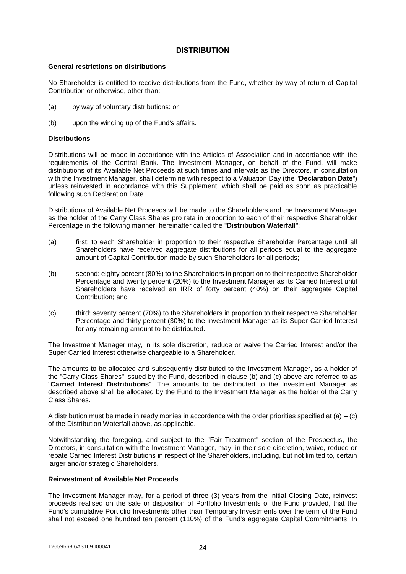## **DISTRIBUTION**

#### **General restrictions on distributions**

No Shareholder is entitled to receive distributions from the Fund, whether by way of return of Capital Contribution or otherwise, other than:

- (a) by way of voluntary distributions: or
- (b) upon the winding up of the Fund's affairs.

## **Distributions**

Distributions will be made in accordance with the Articles of Association and in accordance with the requirements of the Central Bank. The Investment Manager, on behalf of the Fund, will make distributions of its Available Net Proceeds at such times and intervals as the Directors, in consultation with the Investment Manager, shall determine with respect to a Valuation Day (the "**Declaration Date**") unless reinvested in accordance with this Supplement, which shall be paid as soon as practicable following such Declaration Date.

Distributions of Available Net Proceeds will be made to the Shareholders and the Investment Manager as the holder of the Carry Class Shares pro rata in proportion to each of their respective Shareholder Percentage in the following manner, hereinafter called the "**Distribution Waterfall**":

- (a) first: to each Shareholder in proportion to their respective Shareholder Percentage until all Shareholders have received aggregate distributions for all periods equal to the aggregate amount of Capital Contribution made by such Shareholders for all periods;
- (b) second: eighty percent (80%) to the Shareholders in proportion to their respective Shareholder Percentage and twenty percent (20%) to the Investment Manager as its Carried Interest until Shareholders have received an IRR of forty percent (40%) on their aggregate Capital Contribution; and
- (c) third: seventy percent (70%) to the Shareholders in proportion to their respective Shareholder Percentage and thirty percent (30%) to the Investment Manager as its Super Carried Interest for any remaining amount to be distributed.

The Investment Manager may, in its sole discretion, reduce or waive the Carried Interest and/or the Super Carried Interest otherwise chargeable to a Shareholder.

The amounts to be allocated and subsequently distributed to the Investment Manager, as a holder of the "Carry Class Shares" issued by the Fund, described in clause (b) and (c) above are referred to as "**Carried Interest Distributions**". The amounts to be distributed to the Investment Manager as described above shall be allocated by the Fund to the Investment Manager as the holder of the Carry Class Shares.

A distribution must be made in ready monies in accordance with the order priorities specified at (a) – (c) of the Distribution Waterfall above, as applicable.

Notwithstanding the foregoing, and subject to the "Fair Treatment" section of the Prospectus, the Directors, in consultation with the Investment Manager, may, in their sole discretion, waive, reduce or rebate Carried Interest Distributions in respect of the Shareholders, including, but not limited to, certain larger and/or strategic Shareholders.

#### **Reinvestment of Available Net Proceeds**

The Investment Manager may, for a period of three (3) years from the Initial Closing Date, reinvest proceeds realised on the sale or disposition of Portfolio Investments of the Fund provided, that the Fund's cumulative Portfolio Investments other than Temporary Investments over the term of the Fund shall not exceed one hundred ten percent (110%) of the Fund's aggregate Capital Commitments. In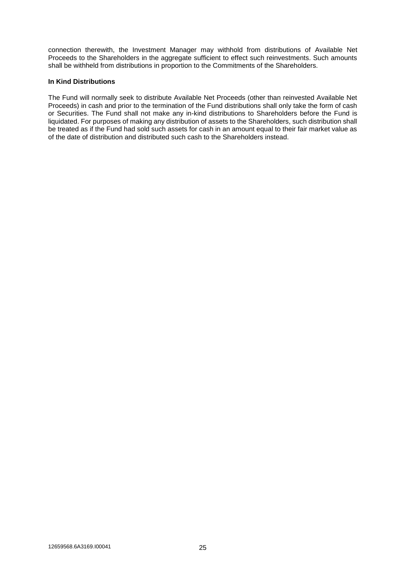connection therewith, the Investment Manager may withhold from distributions of Available Net Proceeds to the Shareholders in the aggregate sufficient to effect such reinvestments. Such amounts shall be withheld from distributions in proportion to the Commitments of the Shareholders.

## **In Kind Distributions**

The Fund will normally seek to distribute Available Net Proceeds (other than reinvested Available Net Proceeds) in cash and prior to the termination of the Fund distributions shall only take the form of cash or Securities. The Fund shall not make any in-kind distributions to Shareholders before the Fund is liquidated. For purposes of making any distribution of assets to the Shareholders, such distribution shall be treated as if the Fund had sold such assets for cash in an amount equal to their fair market value as of the date of distribution and distributed such cash to the Shareholders instead.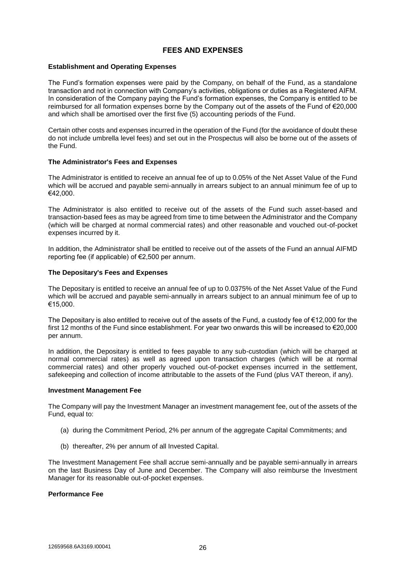## **FEES AND EXPENSES**

#### **Establishment and Operating Expenses**

The Fund's formation expenses were paid by the Company, on behalf of the Fund, as a standalone transaction and not in connection with Company's activities, obligations or duties as a Registered AIFM. In consideration of the Company paying the Fund's formation expenses, the Company is entitled to be reimbursed for all formation expenses borne by the Company out of the assets of the Fund of €20,000 and which shall be amortised over the first five (5) accounting periods of the Fund.

Certain other costs and expenses incurred in the operation of the Fund (for the avoidance of doubt these do not include umbrella level fees) and set out in the Prospectus will also be borne out of the assets of the Fund.

#### **The Administrator's Fees and Expenses**

The Administrator is entitled to receive an annual fee of up to 0.05% of the Net Asset Value of the Fund which will be accrued and payable semi-annually in arrears subject to an annual minimum fee of up to €42,000.

The Administrator is also entitled to receive out of the assets of the Fund such asset-based and transaction-based fees as may be agreed from time to time between the Administrator and the Company (which will be charged at normal commercial rates) and other reasonable and vouched out-of-pocket expenses incurred by it.

In addition, the Administrator shall be entitled to receive out of the assets of the Fund an annual AIFMD reporting fee (if applicable) of €2,500 per annum.

## **The Depositary's Fees and Expenses**

The Depositary is entitled to receive an annual fee of up to 0.0375% of the Net Asset Value of the Fund which will be accrued and payable semi-annually in arrears subject to an annual minimum fee of up to €15,000.

The Depositary is also entitled to receive out of the assets of the Fund, a custody fee of  $\epsilon$ 12,000 for the first 12 months of the Fund since establishment. For year two onwards this will be increased to €20,000 per annum.

In addition, the Depositary is entitled to fees payable to any sub-custodian (which will be charged at normal commercial rates) as well as agreed upon transaction charges (which will be at normal commercial rates) and other properly vouched out-of-pocket expenses incurred in the settlement, safekeeping and collection of income attributable to the assets of the Fund (plus VAT thereon, if any).

#### **Investment Management Fee**

The Company will pay the Investment Manager an investment management fee, out of the assets of the Fund, equal to:

- (a) during the Commitment Period, 2% per annum of the aggregate Capital Commitments; and
- (b) thereafter, 2% per annum of all Invested Capital.

The Investment Management Fee shall accrue semi-annually and be payable semi-annually in arrears on the last Business Day of June and December. The Company will also reimburse the Investment Manager for its reasonable out-of-pocket expenses.

#### **Performance Fee**